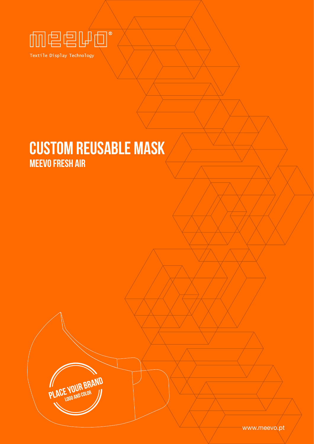

Textile Display Technology

# CUSTOM REUSABLE MASK

**YOUR BRAND** 

MEEVO FRESH AIR

www.meevo.pt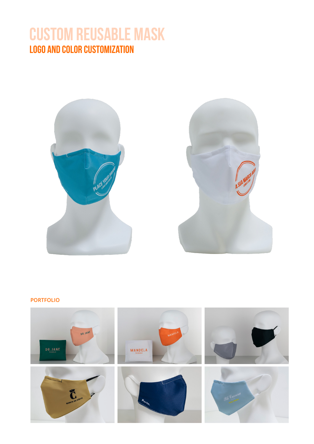### CUSTOM REUSABLE MASK LOGO AND COLOR CUSTOMIZATION





### **PORTFOLIO**

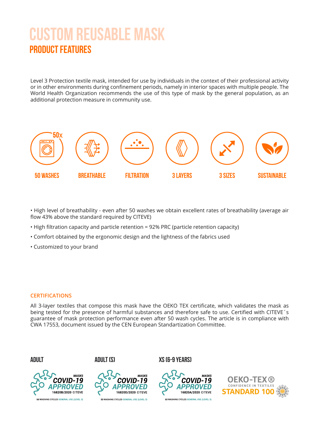# CUSTOM REUSABLE MASK PRODUCT FEATURES

Level 3 Protection textile mask, intended for use by individuals in the context of their professional activity or in other environments during confinement periods, namely in interior spaces with multiple people. The World Health Organization recommends the use of this type of mask by the general population, as an additional protection measure in community use.



• High level of breathability - even after 50 washes we obtain excellent rates of breathability (average air flow 43% above the standard required by CITEVE)

- High filtration capacity and particle retention = 92% PRC (particle retention capacity)
- Comfort obtained by the ergonomic design and the lightness of the fabrics used
- Customized to your brand

#### **CERTIFICATIONS**

All 3-layer textiles that compose this mask have the OEKO TEX certificate, which validates the mask as being tested for the presence of harmful substances and therefore safe to use. Certified with CITEVE´s guarantee of mask protection performance even after 50 wash cycles. The article is in compliance with CWA 17553, document issued by the CEN European Standartization Committee.









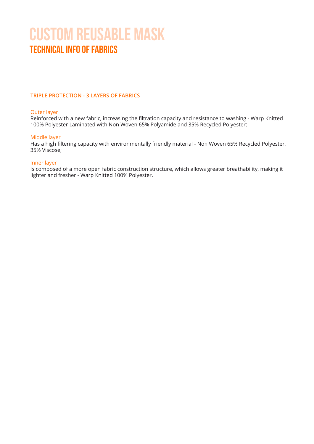# Technical info of fabrics CUSTOM REUSABLE MASK

### **TRIPLE PROTECTION - 3 LAYERS OF FABRICS**

#### Outer layer

Reinforced with a new fabric, increasing the filtration capacity and resistance to washing - Warp Knitted 100% Polyester Laminated with Non Woven 65% Polyamide and 35% Recycled Polyester;

#### Middle layer

Has a high filtering capacity with environmentally friendly material - Non Woven 65% Recycled Polyester, 35% Viscose;

#### Inner layer

Is composed of a more open fabric construction structure, which allows greater breathability, making it lighter and fresher - Warp Knitted 100% Polyester.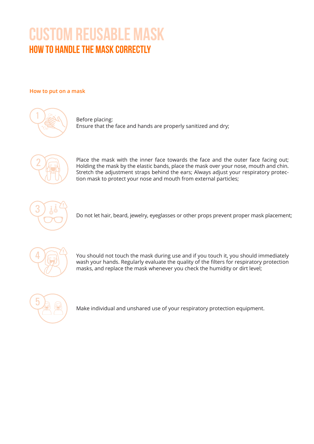# HOW TO HANDLE THE MASK CORRECTLY CUSTOM REUSABLE MASK

### **How to put on a mask**



Before placing: Ensure that the face and hands are properly sanitized and dry;



Place the mask with the inner face towards the face and the outer face facing out; Holding the mask by the elastic bands, place the mask over your nose, mouth and chin. Stretch the adjustment straps behind the ears; Always adjust your respiratory protection mask to protect your nose and mouth from external particles;



Do not let hair, beard, jewelry, eyeglasses or other props prevent proper mask placement;



You should not touch the mask during use and if you touch it, you should immediately wash your hands. Regularly evaluate the quality of the filters for respiratory protection masks, and replace the mask whenever you check the humidity or dirt level;



Make individual and unshared use of your respiratory protection equipment.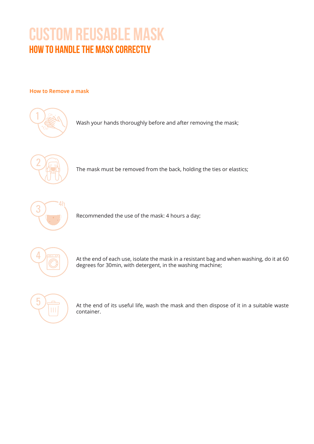# HOW TO HANDLE THE MASK CORRECTLY CUSTOM REUSABLE MASK

### **How to Remove a mask**



Wash your hands thoroughly before and after removing the mask;



The mask must be removed from the back, holding the ties or elastics;



Recommended the use of the mask: 4 hours a day;



4 At the end of each use, isolate the mask in a resistant bag and when washing, do it at 60 degrees for 30min, with detergent, in the washing machine;



 $\frac{1}{\sqrt{10}}$  At the end of its useful life, wash the mask and then dispose of it in a suitable waste container.